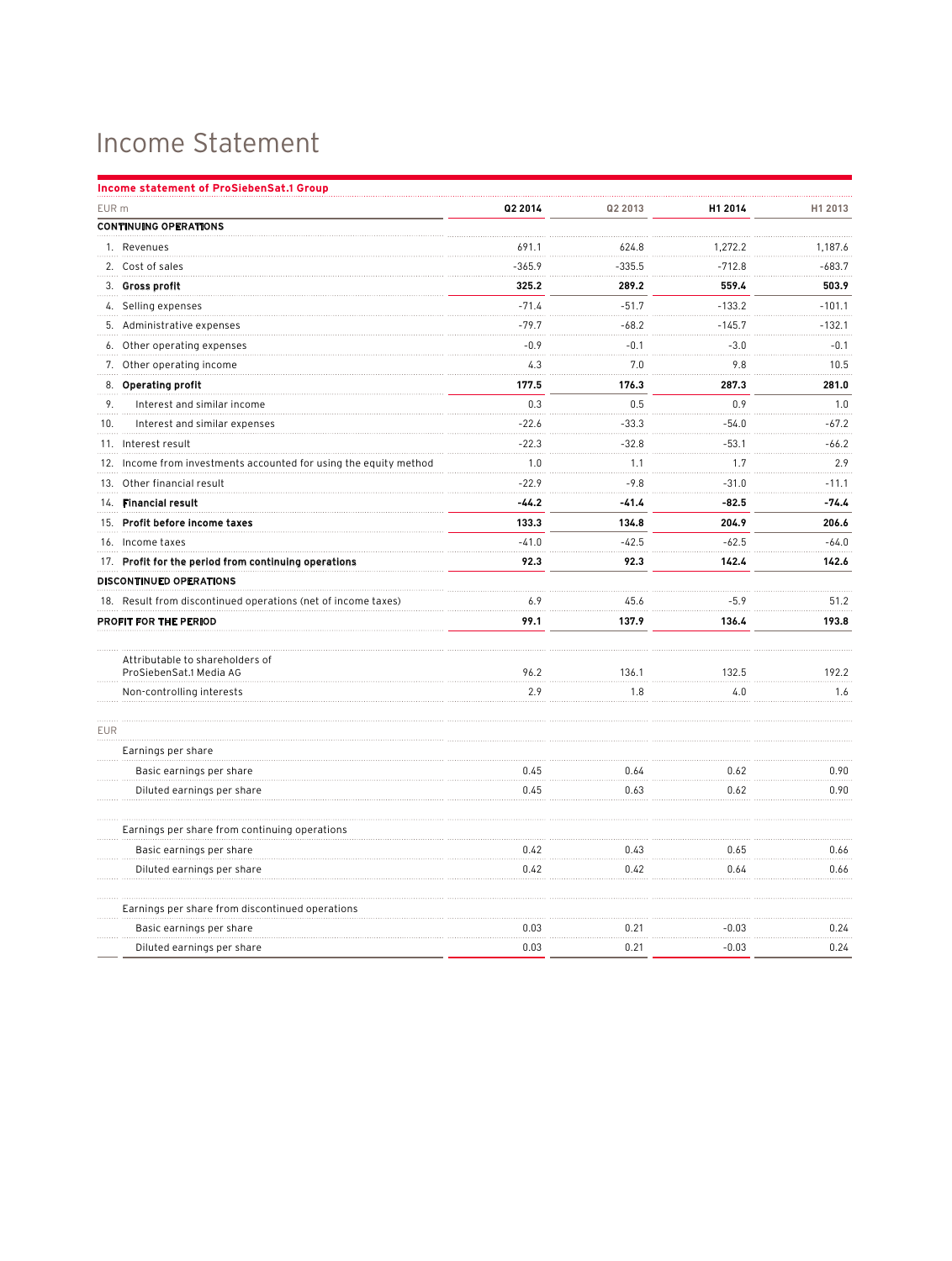## Income Statement

| Income statement of ProSiebenSat.1 Group                          |          |          |          |          |
|-------------------------------------------------------------------|----------|----------|----------|----------|
| EUR <sub>m</sub>                                                  | Q2 2014  | Q2 2013  | H1 2014  | H1 2013  |
| <b>CONTINUING OPERATIONS</b>                                      |          |          |          |          |
| 1. Revenues                                                       | 691.1    | 624.8    | 1,272.2  | 1,187.6  |
| 2. Cost of sales                                                  | $-365.9$ | $-335.5$ | $-712.8$ | $-683.7$ |
| 3. Gross profit                                                   | 325.2    | 289.2    | 559.4    | 503.9    |
| 4. Selling expenses                                               | $-71.4$  | $-51.7$  | $-133.2$ | $-101.1$ |
| 5. Administrative expenses                                        | $-79.7$  | $-68.2$  | $-145.7$ | $-132.1$ |
| 6. Other operating expenses                                       | $-0.9$   | $-0.1$   | $-3.0$   | $-0.1$   |
| 7. Other operating income                                         | 4.3      | 7.0      | 9.8      | 10.5     |
| <b>Operating profit</b><br>8.                                     | 177.5    | 176.3    | 287.3    | 281.0    |
| 9.<br>Interest and similar income                                 | 0.3      | 0.5      | 0.9      | 1.0      |
| 10.<br>Interest and similar expenses                              | $-22.6$  | $-33.3$  | $-54.0$  | $-67.2$  |
| 11. Interest result                                               | $-22.3$  | $-32.8$  | $-53.1$  | $-66.2$  |
| 12. Income from investments accounted for using the equity method | 1.0      | 1.1      | 1.7      | 2.9      |
| 13. Other financial result                                        | $-22.9$  | $-9.8$   | $-31.0$  | $-11.1$  |
| 14. Financial result                                              | $-44.2$  | $-41.4$  | $-82.5$  | $-74.4$  |
| 15. Profit before income taxes                                    | 133.3    | 134.8    | 204.9    | 206.6    |
| 16. Income taxes                                                  | $-41.0$  | $-42.5$  | $-62.5$  | $-64.0$  |
| 17. Profit for the period from continuing operations              | 92.3     | 92.3     | 142.4    | 142.6    |
| <b>DISCONTINUED OPERATIONS</b>                                    |          |          |          |          |
| 18. Result from discontinued operations (net of income taxes)     | 6.9      | 45.6     | $-5.9$   | 51.2     |
| PROFIT FOR THE PERIOD                                             | 99.1     | 137.9    | 136.4    | 193.8    |
|                                                                   |          |          |          |          |
| Attributable to shareholders of<br>ProSiebenSat.1 Media AG        | 96.2     | 136.1    | 132.5    | 192.2    |
| Non-controlling interests                                         | 2.9      | 1.8      | 4.0      | 1.6      |
| <b>EUR</b>                                                        |          |          |          |          |
| Earnings per share                                                |          |          |          |          |
| Basic earnings per share                                          | 0.45     | 0.64     | 0.62     | 0.90     |
| Diluted earnings per share                                        | 0.45     | 0.63     | 0.62     | 0.90     |
| Earnings per share from continuing operations                     |          |          |          |          |
| Basic earnings per share                                          | 0.42     | 0.43     | 0.65     | 0.66     |
| Diluted earnings per share                                        | 0.42     | 0.42     | 0.64     | 0.66     |
| Earnings per share from discontinued operations                   |          |          |          |          |
| Basic earnings per share                                          | 0.03     | 0.21     | $-0.03$  | 0.24     |
| Diluted earnings per share                                        | 0.03     | 0.21     | $-0.03$  | 0.24     |